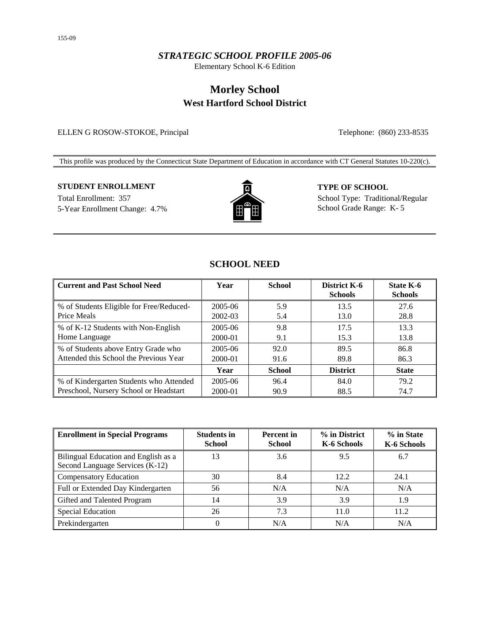### *STRATEGIC SCHOOL PROFILE 2005-06*

Elementary School K-6 Edition

# **Morley School West Hartford School District**

#### ELLEN G ROSOW-STOKOE, Principal Telephone: (860) 233-8535

This profile was produced by the Connecticut State Department of Education in accordance with CT General Statutes 10-220(c).

# **STUDENT ENROLLMENT TYPE OF SCHOOL**

5-Year Enrollment Change: 4.7% School Grade Range: K- 5



Total Enrollment: 357 School Type: Traditional/Regular

# **SCHOOL NEED**

| <b>Current and Past School Need</b>                     | Year               | <b>School</b> | District K-6<br><b>Schools</b> | <b>State K-6</b><br><b>Schools</b> |
|---------------------------------------------------------|--------------------|---------------|--------------------------------|------------------------------------|
| % of Students Eligible for Free/Reduced-<br>Price Meals | 2005-06            | 5.9           | 13.5<br>13.0                   | 27.6<br>28.8                       |
|                                                         | 2002-03            | 5.4           | 17.5                           | 13.3                               |
| % of K-12 Students with Non-English<br>Home Language    | 2005-06<br>2000-01 | 9.8<br>9.1    | 15.3                           | 13.8                               |
| % of Students above Entry Grade who                     | 2005-06            | 92.0          | 89.5                           | 86.8                               |
| Attended this School the Previous Year                  | 2000-01            | 91.6          | 89.8                           | 86.3                               |
|                                                         | Year               | <b>School</b> | <b>District</b>                | <b>State</b>                       |
| % of Kindergarten Students who Attended                 | 2005-06            | 96.4          | 84.0                           | 79.2                               |
| Preschool, Nursery School or Headstart                  | 2000-01            | 90.9          | 88.5                           | 74.7                               |

| <b>Enrollment in Special Programs</b>                                   | <b>Students in</b><br><b>School</b> | <b>Percent</b> in<br><b>School</b> | % in District<br>K-6 Schools | % in State<br>K-6 Schools |
|-------------------------------------------------------------------------|-------------------------------------|------------------------------------|------------------------------|---------------------------|
| Bilingual Education and English as a<br>Second Language Services (K-12) | 13                                  | 3.6                                | 9.5                          | 6.7                       |
| <b>Compensatory Education</b>                                           | 30                                  | 8.4                                | 12.2                         | 24.1                      |
| Full or Extended Day Kindergarten                                       | 56                                  | N/A                                | N/A                          | N/A                       |
| Gifted and Talented Program                                             | 14                                  | 3.9                                | 3.9                          | 1.9                       |
| <b>Special Education</b>                                                | 26                                  | 7.3                                | 11.0                         | 11.2                      |
| Prekindergarten                                                         | 0                                   | N/A                                | N/A                          | N/A                       |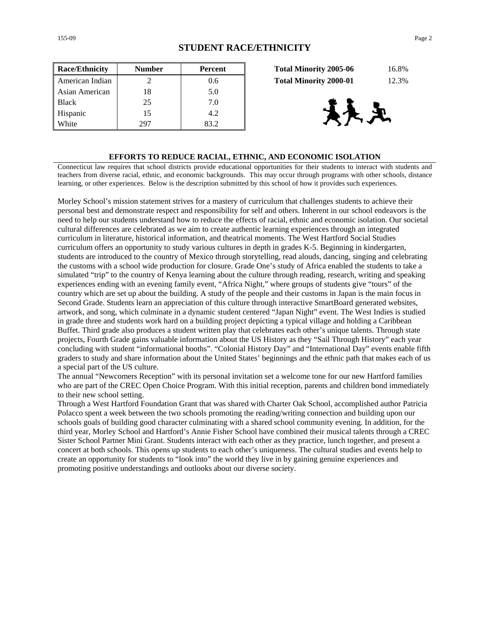| <b>Race/Ethnicity</b> | <b>Number</b> | Percent | 16.8%<br><b>Total Minority 2005-06</b> |
|-----------------------|---------------|---------|----------------------------------------|
| American Indian       |               | 0.6     | 12.3%<br><b>Total Minority 2000-01</b> |
| Asian American        | 18            | 5.0     |                                        |
| <b>Black</b>          | 25            | 7.0     |                                        |
| Hispanic              | 15            | 4.2     | 天足                                     |
| White                 | 297           | 83.2    |                                        |

| <b>Total Minority 2005-06</b> | 16.8% |
|-------------------------------|-------|
| <b>Total Minority 2000-01</b> | 12.3% |



#### **EFFORTS TO REDUCE RACIAL, ETHNIC, AND ECONOMIC ISOLATION**

Connecticut law requires that school districts provide educational opportunities for their students to interact with students and teachers from diverse racial, ethnic, and economic backgrounds. This may occur through programs with other schools, distance learning, or other experiences. Below is the description submitted by this school of how it provides such experiences.

Morley School's mission statement strives for a mastery of curriculum that challenges students to achieve their personal best and demonstrate respect and responsibility for self and others. Inherent in our school endeavors is the need to help our students understand how to reduce the effects of racial, ethnic and economic isolation. Our societal cultural differences are celebrated as we aim to create authentic learning experiences through an integrated curriculum in literature, historical information, and theatrical moments. The West Hartford Social Studies curriculum offers an opportunity to study various cultures in depth in grades K-5. Beginning in kindergarten, students are introduced to the country of Mexico through storytelling, read alouds, dancing, singing and celebrating the customs with a school wide production for closure. Grade One's study of Africa enabled the students to take a simulated "trip" to the country of Kenya learning about the culture through reading, research, writing and speaking experiences ending with an evening family event, "Africa Night," where groups of students give "tours" of the country which are set up about the building. A study of the people and their customs in Japan is the main focus in Second Grade. Students learn an appreciation of this culture through interactive SmartBoard generated websites, artwork, and song, which culminate in a dynamic student centered "Japan Night" event. The West Indies is studied in grade three and students work hard on a building project depicting a typical village and holding a Caribbean Buffet. Third grade also produces a student written play that celebrates each other's unique talents. Through state projects, Fourth Grade gains valuable information about the US History as they "Sail Through History" each year concluding with student "informational booths". "Colonial History Day" and "International Day" events enable fifth graders to study and share information about the United States' beginnings and the ethnic path that makes each of us a special part of the US culture.

The annual "Newcomers Reception" with its personal invitation set a welcome tone for our new Hartford families who are part of the CREC Open Choice Program. With this initial reception, parents and children bond immediately to their new school setting.

Through a West Hartford Foundation Grant that was shared with Charter Oak School, accomplished author Patricia Polacco spent a week between the two schools promoting the reading/writing connection and building upon our schools goals of building good character culminating with a shared school community evening. In addition, for the third year, Morley School and Hartford's Annie Fisher School have combined their musical talents through a CREC Sister School Partner Mini Grant. Students interact with each other as they practice, lunch together, and present a concert at both schools. This opens up students to each other's uniqueness. The cultural studies and events help to create an opportunity for students to "look into" the world they live in by gaining genuine experiences and promoting positive understandings and outlooks about our diverse society.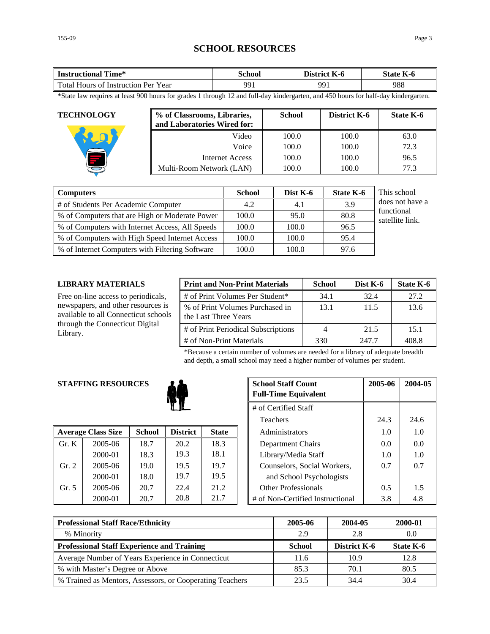# **SCHOOL RESOURCES**

| fime*<br><b>Instructional</b>               | School | <b>District</b><br>K-0 | $\mathbf{r}$<br>State  <br>K-0 |
|---------------------------------------------|--------|------------------------|--------------------------------|
| Total Hours of<br>Year<br>: Instruction Per | 991    | QQ                     | 988                            |

\*State law requires at least 900 hours for grades 1 through 12 and full-day kindergarten, and 450 hours for half-day kindergarten.

| <b>TECHNOLOGY</b> | % of Classrooms, Libraries,<br>and Laboratories Wired for: | <b>School</b> | District K-6 | State K-6 |
|-------------------|------------------------------------------------------------|---------------|--------------|-----------|
|                   | Video                                                      | 100.0         | 100.0        | 63.0      |
|                   | Voice                                                      | 100.0         | 100.0        | 72.3      |
|                   | Internet Access                                            | 100.0         | 100.0        | 96.5      |
|                   | Multi-Room Network (LAN)                                   | 100.0         | 100.0        | 77.3      |

| <b>Computers</b>                                | <b>School</b> | Dist K-6 | <b>State K-6</b> | This school                   |
|-------------------------------------------------|---------------|----------|------------------|-------------------------------|
| # of Students Per Academic Computer             | 4.2           | 4.1      | 3.9              | does not have a               |
| % of Computers that are High or Moderate Power  | 100.0         | 95.0     | 80.8             | functional<br>satellite link. |
| % of Computers with Internet Access, All Speeds | 100.0         | 100.0    | 96.5             |                               |
| % of Computers with High Speed Internet Access  | 100.0         | 100.0    | 95.4             |                               |
| % of Internet Computers with Filtering Software | 100.0         | 100.0    | 97.6             |                               |

#### **LIBRARY MATERIALS**

Free on-line access to periodicals, newspapers, and other resources is available to all Connecticut schools through the Connecticut Digital Library.

| <b>Print and Non-Print Materials</b>                    | <b>School</b> | Dist K-6 | State K-6 |
|---------------------------------------------------------|---------------|----------|-----------|
| # of Print Volumes Per Student*                         | 34.1          | 32.4     | 27.2      |
| % of Print Volumes Purchased in<br>the Last Three Years | 13.1          | 11.5     | 13.6      |
| # of Print Periodical Subscriptions                     | 4             | 21.5     | 15.1      |
| # of Non-Print Materials                                | 330           | 247.7    | 408.8     |

\*Because a certain number of volumes are needed for a library of adequate breadth and depth, a small school may need a higher number of volumes per student.

### **STAFFING RESOURCES**



|                | <b>Average Class Size</b> | <b>School</b> | <b>District</b> | <b>State</b> | Administrators                   | 1.0 | 1.0 |
|----------------|---------------------------|---------------|-----------------|--------------|----------------------------------|-----|-----|
| $\Gamma$ Gr. K | $2005 - 06$               | 18.7          | 20.2            | 18.3         | Department Chairs                | 0.0 | 0.0 |
|                | 2000-01                   | 18.3          | 19.3            | 18.1         | Library/Media Staff              | 1.0 | 1.0 |
| Gr. 2          | 2005-06                   | 19.0          | 19.5            | 19.7         | Counselors, Social Workers,      | 0.7 | 0.7 |
|                | 2000-01                   | 18.0          | 19.7            | 19.5         | and School Psychologists         |     |     |
| Gr. 5          | 2005-06                   | 20.7          | 22.4            | 21.2         | <b>Other Professionals</b>       | 0.5 | 1.5 |
|                | 2000-01                   | 20.7          | 20.8            | 21.7         | # of Non-Certified Instructional | 3.8 | 4.8 |

|                      | <b>G RESOURCES</b><br><b>School Staff Count</b><br><b>Full-Time Equivalent</b> |                 | 2005-06      | 2004-05 |                                  |      |      |
|----------------------|--------------------------------------------------------------------------------|-----------------|--------------|---------|----------------------------------|------|------|
| # of Certified Staff |                                                                                |                 |              |         |                                  |      |      |
|                      |                                                                                |                 |              |         | <b>Teachers</b>                  | 24.3 | 24.6 |
| 'lass Size           | <b>School</b>                                                                  | <b>District</b> | <b>State</b> |         | Administrators                   | 1.0  | 1.0  |
| 2005-06              | 18.7                                                                           | 20.2            | 18.3         |         | Department Chairs                | 0.0  | 0.0  |
| 2000-01              | 18.3                                                                           | 19.3            | 18.1         |         | Library/Media Staff              | 1.0  | 1.0  |
| 2005-06              | 19.0                                                                           | 19.5            | 19.7         |         | Counselors, Social Workers,      | 0.7  | 0.7  |
| 2000-01              | 18.0                                                                           | 19.7            | 19.5         |         | and School Psychologists         |      |      |
| 2005-06              | 20.7                                                                           | 22.4            | 21.2         |         | <b>Other Professionals</b>       | 0.5  | 1.5  |
| 2000-01              | 20.7                                                                           | 20.8            | 21.7         |         | # of Non-Certified Instructional | 3.8  | 4.8  |

| <b>Professional Staff Race/Ethnicity</b>                 | 2005-06       | 2004-05             | 2000-01   |
|----------------------------------------------------------|---------------|---------------------|-----------|
| % Minority                                               | 2.9           | 2.8                 | $0.0\,$   |
| <b>Professional Staff Experience and Training</b>        | <b>School</b> | <b>District K-6</b> | State K-6 |
| Average Number of Years Experience in Connecticut        | 11.6          | 10.9                | 12.8      |
| % with Master's Degree or Above                          | 85.3          | 70.1                | 80.5      |
| % Trained as Mentors, Assessors, or Cooperating Teachers | 23.5          | 34.4                | 30.4      |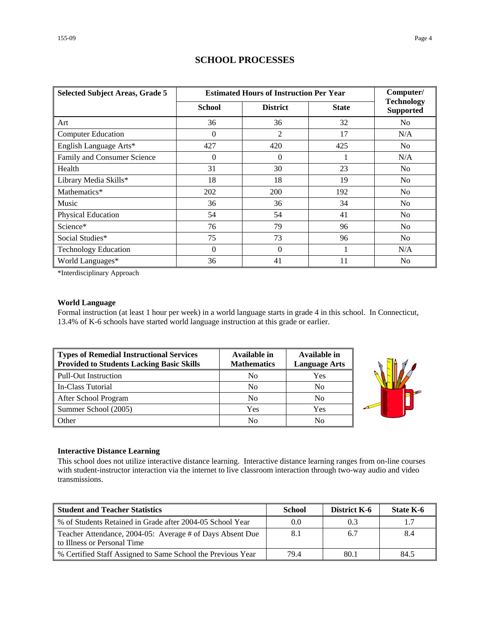| <b>Selected Subject Areas, Grade 5</b> | <b>Estimated Hours of Instruction Per Year</b> | Computer/       |              |                                       |
|----------------------------------------|------------------------------------------------|-----------------|--------------|---------------------------------------|
|                                        | School                                         | <b>District</b> | <b>State</b> | <b>Technology</b><br><b>Supported</b> |
| Art                                    | 36                                             | 36              | 32           | N <sub>0</sub>                        |
| <b>Computer Education</b>              | $\Omega$                                       | $\overline{2}$  | 17           | N/A                                   |
| English Language Arts*                 | 427                                            | 420             | 425          | N <sub>0</sub>                        |
| Family and Consumer Science            | $\Omega$                                       | $\Omega$        |              | N/A                                   |
| Health                                 | 31                                             | 30              | 23           | N <sub>0</sub>                        |
| Library Media Skills*                  | 18                                             | 18              | 19           | N <sub>0</sub>                        |
| Mathematics*                           | 202                                            | 200             | 192          | N <sub>0</sub>                        |
| Music                                  | 36                                             | 36              | 34           | N <sub>0</sub>                        |
| Physical Education                     | 54                                             | 54              | 41           | N <sub>0</sub>                        |
| Science*                               | 76                                             | 79              | 96           | N <sub>0</sub>                        |
| Social Studies*                        | 75                                             | 73              | 96           | N <sub>0</sub>                        |
| <b>Technology Education</b>            | $\Omega$                                       | $\Omega$        |              | N/A                                   |
| World Languages*                       | 36                                             | 41              | 11           | N <sub>0</sub>                        |

### **SCHOOL PROCESSES**

\*Interdisciplinary Approach

#### **World Language**

Formal instruction (at least 1 hour per week) in a world language starts in grade 4 in this school. In Connecticut, 13.4% of K-6 schools have started world language instruction at this grade or earlier.

| Types of Remedial Instructional Services<br><b>Provided to Students Lacking Basic Skills</b> | Available in<br><b>Mathematics</b> | Available in<br><b>Language Arts</b> |
|----------------------------------------------------------------------------------------------|------------------------------------|--------------------------------------|
| Pull-Out Instruction                                                                         | No                                 | Yes                                  |
| In-Class Tutorial                                                                            | N <sub>0</sub>                     | No                                   |
| After School Program                                                                         | N <sub>0</sub>                     | No                                   |
| Summer School (2005)                                                                         | Yes                                | Yes                                  |
| Other                                                                                        | No                                 | No                                   |



#### **Interactive Distance Learning**

This school does not utilize interactive distance learning. Interactive distance learning ranges from on-line courses with student-instructor interaction via the internet to live classroom interaction through two-way audio and video transmissions.

| <b>Student and Teacher Statistics</b>                                                    | School | <b>District K-6</b> | State K-6 |
|------------------------------------------------------------------------------------------|--------|---------------------|-----------|
| ■ % of Students Retained in Grade after 2004-05 School Year                              | 0.0    | 0.3                 | 1.7       |
| Teacher Attendance, 2004-05: Average # of Days Absent Due<br>to Illness or Personal Time | 8.1    | 6.7                 | 8.4       |
| ■ % Certified Staff Assigned to Same School the Previous Year                            | 79.4   | 80.1                | 84.5      |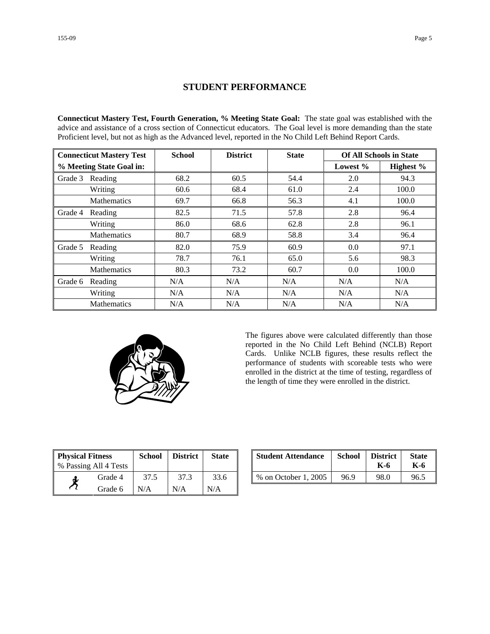### **STUDENT PERFORMANCE**

**Connecticut Mastery Test, Fourth Generation, % Meeting State Goal:** The state goal was established with the advice and assistance of a cross section of Connecticut educators. The Goal level is more demanding than the state Proficient level, but not as high as the Advanced level, reported in the No Child Left Behind Report Cards.

| <b>Connecticut Mastery Test</b> |                          | <b>School</b> | <b>District</b> | <b>State</b> | <b>Of All Schools in State</b> |           |
|---------------------------------|--------------------------|---------------|-----------------|--------------|--------------------------------|-----------|
|                                 | % Meeting State Goal in: |               |                 |              | Lowest $%$                     | Highest % |
| Grade 3                         | Reading                  | 68.2          | 60.5            | 54.4         | 2.0                            | 94.3      |
|                                 | Writing                  | 60.6          | 68.4            | 61.0         | 2.4                            | 100.0     |
|                                 | <b>Mathematics</b>       | 69.7          | 66.8            | 56.3         | 4.1                            | 100.0     |
| Grade 4                         | Reading                  | 82.5          | 71.5            | 57.8         | 2.8                            | 96.4      |
|                                 | Writing                  | 86.0          | 68.6            | 62.8         | 2.8                            | 96.1      |
|                                 | Mathematics              | 80.7          | 68.9            | 58.8         | 3.4                            | 96.4      |
| Grade 5                         | Reading                  | 82.0          | 75.9            | 60.9         | 0.0                            | 97.1      |
|                                 | Writing                  | 78.7          | 76.1            | 65.0         | 5.6                            | 98.3      |
|                                 | <b>Mathematics</b>       | 80.3          | 73.2            | 60.7         | 0.0                            | 100.0     |
| Grade 6                         | Reading                  | N/A           | N/A             | N/A          | N/A                            | N/A       |
|                                 | Writing                  | N/A           | N/A             | N/A          | N/A                            | N/A       |
|                                 | <b>Mathematics</b>       | N/A           | N/A             | N/A          | N/A                            | N/A       |



The figures above were calculated differently than those reported in the No Child Left Behind (NCLB) Report Cards. Unlike NCLB figures, these results reflect the performance of students with scoreable tests who were enrolled in the district at the time of testing, regardless of the length of time they were enrolled in the district.

| <b>Physical Fitness</b> |                       | <b>School</b> | <b>District</b> | <b>State</b> |
|-------------------------|-----------------------|---------------|-----------------|--------------|
|                         | % Passing All 4 Tests |               |                 |              |
|                         | Grade 4               | 37.5          | 37.3            | 33.6         |
|                         | Grade 6               | N/A           | N/A             | N/A          |

| ness<br>.11 4 Tests | School | <b>District</b> | <b>State</b> | <b>Student Attendance</b> | <b>School</b> | <b>District</b><br>K-6 | <b>State</b><br>K-6 |
|---------------------|--------|-----------------|--------------|---------------------------|---------------|------------------------|---------------------|
| Grade 4             | 37.5   | 37.3            | 33.6         | % on October 1, 2005      | 96.9          | 98.0                   | 96.5                |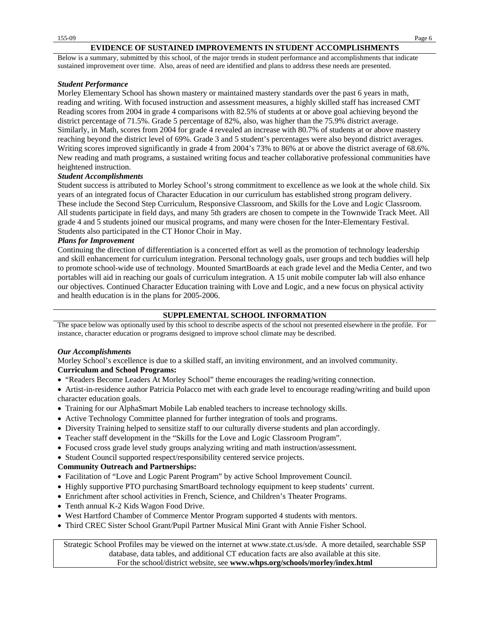#### **EVIDENCE OF SUSTAINED IMPROVEMENTS IN STUDENT ACCOMPLISHMENTS**

Below is a summary, submitted by this school, of the major trends in student performance and accomplishments that indicate sustained improvement over time. Also, areas of need are identified and plans to address these needs are presented.

#### *Student Performance*

Morley Elementary School has shown mastery or maintained mastery standards over the past 6 years in math, reading and writing. With focused instruction and assessment measures, a highly skilled staff has increased CMT Reading scores from 2004 in grade 4 comparisons with 82.5% of students at or above goal achieving beyond the district percentage of 71.5%. Grade 5 percentage of 82%, also, was higher than the 75.9% district average. Similarly, in Math, scores from 2004 for grade 4 revealed an increase with 80.7% of students at or above mastery reaching beyond the district level of 69%. Grade 3 and 5 student's percentages were also beyond district averages. Writing scores improved significantly in grade 4 from 2004's 73% to 86% at or above the district average of 68.6%. New reading and math programs, a sustained writing focus and teacher collaborative professional communities have heightened instruction.

#### *Student Accomplishments*

Student success is attributed to Morley School's strong commitment to excellence as we look at the whole child. Six years of an integrated focus of Character Education in our curriculum has established strong program delivery. These include the Second Step Curriculum, Responsive Classroom, and Skills for the Love and Logic Classroom. All students participate in field days, and many 5th graders are chosen to compete in the Townwide Track Meet. All grade 4 and 5 students joined our musical programs, and many were chosen for the Inter-Elementary Festival. Students also participated in the CT Honor Choir in May.

#### *Plans for Improvement*

Continuing the direction of differentiation is a concerted effort as well as the promotion of technology leadership and skill enhancement for curriculum integration. Personal technology goals, user groups and tech buddies will help to promote school-wide use of technology. Mounted SmartBoards at each grade level and the Media Center, and two portables will aid in reaching our goals of curriculum integration. A 15 unit mobile computer lab will also enhance our objectives. Continued Character Education training with Love and Logic, and a new focus on physical activity and health education is in the plans for 2005-2006.

#### **SUPPLEMENTAL SCHOOL INFORMATION**

The space below was optionally used by this school to describe aspects of the school not presented elsewhere in the profile. For instance, character education or programs designed to improve school climate may be described.

#### *Our Accomplishments*

Morley School's excellence is due to a skilled staff, an inviting environment, and an involved community. **Curriculum and School Programs:**

• "Readers Become Leaders At Morley School" theme encourages the reading/writing connection.

• Artist-in-residence author Patricia Polacco met with each grade level to encourage reading/writing and build upon character education goals.

- Training for our AlphaSmart Mobile Lab enabled teachers to increase technology skills.
- Active Technology Committee planned for further integration of tools and programs.
- Diversity Training helped to sensitize staff to our culturally diverse students and plan accordingly.
- Teacher staff development in the "Skills for the Love and Logic Classroom Program".
- Focused cross grade level study groups analyzing writing and math instruction/assessment.
- Student Council supported respect/responsibility centered service projects.

#### **Community Outreach and Partnerships:**

- Facilitation of "Love and Logic Parent Program" by active School Improvement Council.
- Highly supportive PTO purchasing SmartBoard technology equipment to keep students' current.
- Enrichment after school activities in French, Science, and Children's Theater Programs.
- Tenth annual K-2 Kids Wagon Food Drive.
- West Hartford Chamber of Commerce Mentor Program supported 4 students with mentors.
- Third CREC Sister School Grant/Pupil Partner Musical Mini Grant with Annie Fisher School.

Strategic School Profiles may be viewed on the internet at www.state.ct.us/sde. A more detailed, searchable SSP database, data tables, and additional CT education facts are also available at this site. For the school/district website, see **www.whps.org/schools/morley/index.html**